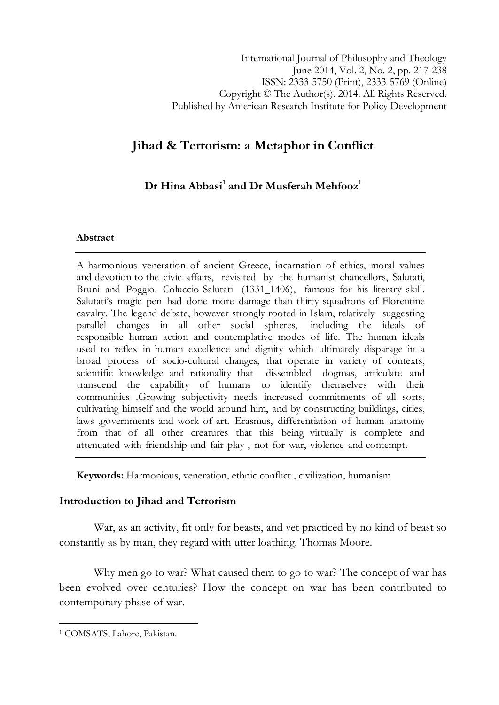# Jihad & Terrorism: a Metaphor in Conflict

## $\mathbf D$ r Hina Abbasi $^1$  and  $\mathbf D$ r Musferah Mehfoo $\mathsf z^1$

### Abstract

A harmonious veneration of ancient Greece, incarnation of ethics, moral values and devotion to the civic affairs, revisited by the humanist chancellors, Salutati, Bruni and Poggio. Coluccio Salutati (1331\_1406), famous for his literary skill. Salutati's magic pen had done more damage than thirty squadrons of Florentine cavalry. The legend debate, however strongly rooted in Islam, relatively suggesting parallel changes in all other social spheres, including the ideals of responsible human action and contemplative modes of life. The human ideals used to reflex in human excellence and dignity which ultimately disparage in a broad process of socio-cultural changes, that operate in variety of contexts, scientific knowledge and rationality that dissembled dogmas, articulate and transcend the capability of humans to identify themselves with their communities .Growing subjectivity needs increased commitments of all sorts, cultivating himself and the world around him, and by constructing buildings, cities, laws ,governments and work of art. Erasmus, differentiation of human anatomy from that of all other creatures that this being virtually is complete and attenuated with friendship and fair play , not for war, violence and contempt.

Keywords: Harmonious, veneration, ethnic conflict , civilization, humanism

## Introduction to Jihad and Terrorism

War, as an activity, fit only for beasts, and yet practiced by no kind of beast so constantly as by man, they regard with utter loathing. Thomas Moore.

Why men go to war? What caused them to go to war? The concept of war has been evolved over centuries? How the concept on war has been contributed to contemporary phase of war.

l

<sup>1</sup> COMSATS, Lahore, Pakistan.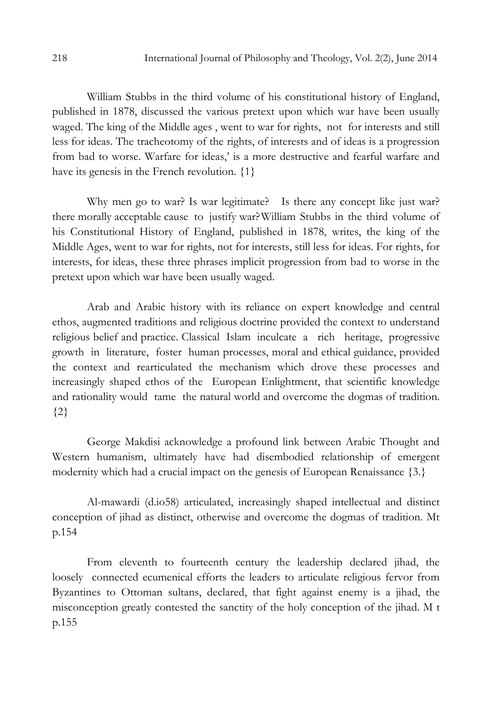William Stubbs in the third volume of his constitutional history of England, published in 1878, discussed the various pretext upon which war have been usually waged. The king of the Middle ages , went to war for rights, not for interests and still less for ideas. The tracheotomy of the rights, of interests and of ideas is a progression from bad to worse. Warfare for ideas,' is a more destructive and fearful warfare and have its genesis in the French revolution.  $\{1\}$ 

Why men go to war? Is war legitimate? Is there any concept like just war? there morally acceptable cause to justify war? William Stubbs in the third volume of his Constitutional History of England, published in 1878, writes, the king of the Middle Ages, went to war for rights, not for interests, still less for ideas. For rights, for interests, for ideas, these three phrases implicit progression from bad to worse in the pretext upon which war have been usually waged.

Arab and Arabic history with its reliance on expert knowledge and central ethos, augmented traditions and religious doctrine provided the context to understand religious belief and practice. Classical Islam inculcate a rich heritage, progressive growth in literature, foster human processes, moral and ethical guidance, provided the context and rearticulated the mechanism which drove these processes and increasingly shaped ethos of the European Enlightment, that scientific knowledge and rationality would tame the natural world and overcome the dogmas of tradition. {2}

George Makdisi acknowledge a profound link between Arabic Thought and Western humanism, ultimately have had disembodied relationship of emergent modernity which had a crucial impact on the genesis of European Renaissance {3.}

Al-mawardi (d.io58) articulated, increasingly shaped intellectual and distinct conception of jihad as distinct, otherwise and overcome the dogmas of tradition. Mt p.154

From eleventh to fourteenth century the leadership declared jihad, the loosely connected ecumenical efforts the leaders to articulate religious fervor from Byzantines to Ottoman sultans, declared, that fight against enemy is a jihad, the misconception greatly contested the sanctity of the holy conception of the jihad. M t p.155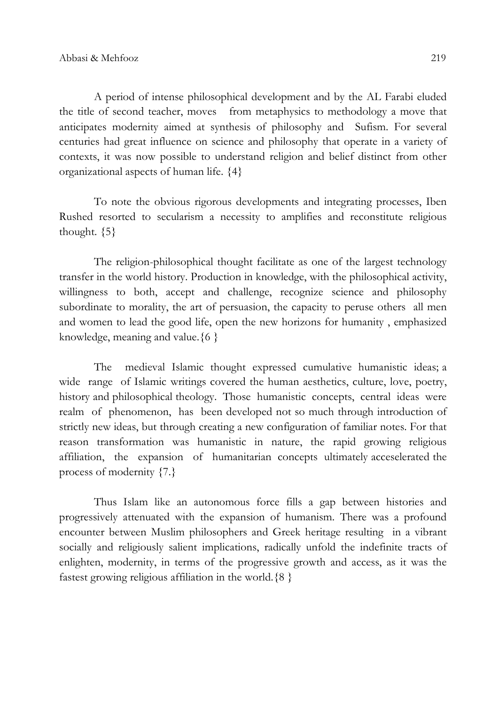A period of intense philosophical development and by the AL Farabi eluded the title of second teacher, moves from metaphysics to methodology a move that anticipates modernity aimed at synthesis of philosophy and Sufism. For several centuries had great influence on science and philosophy that operate in a variety of contexts, it was now possible to understand religion and belief distinct from other organizational aspects of human life. {4}

To note the obvious rigorous developments and integrating processes, Iben Rushed resorted to secularism a necessity to amplifies and reconstitute religious thought.  $\{5\}$ 

The religion-philosophical thought facilitate as one of the largest technology transfer in the world history. Production in knowledge, with the philosophical activity, willingness to both, accept and challenge, recognize science and philosophy subordinate to morality, the art of persuasion, the capacity to peruse others all men and women to lead the good life, open the new horizons for humanity , emphasized knowledge, meaning and value.  $\{6\}$ 

The medieval Islamic thought expressed cumulative humanistic ideas; a wide range of Islamic writings covered the human aesthetics, culture, love, poetry, history and philosophical theology. Those humanistic concepts, central ideas were realm of phenomenon, has been developed not so much through introduction of strictly new ideas, but through creating a new configuration of familiar notes. For that reason transformation was humanistic in nature, the rapid growing religious affiliation, the expansion of humanitarian concepts ultimately acceselerated the process of modernity {7.}

Thus Islam like an autonomous force fills a gap between histories and progressively attenuated with the expansion of humanism. There was a profound encounter between Muslim philosophers and Greek heritage resulting in a vibrant socially and religiously salient implications, radically unfold the indefinite tracts of enlighten, modernity, in terms of the progressive growth and access, as it was the fastest growing religious affiliation in the world. ${8}$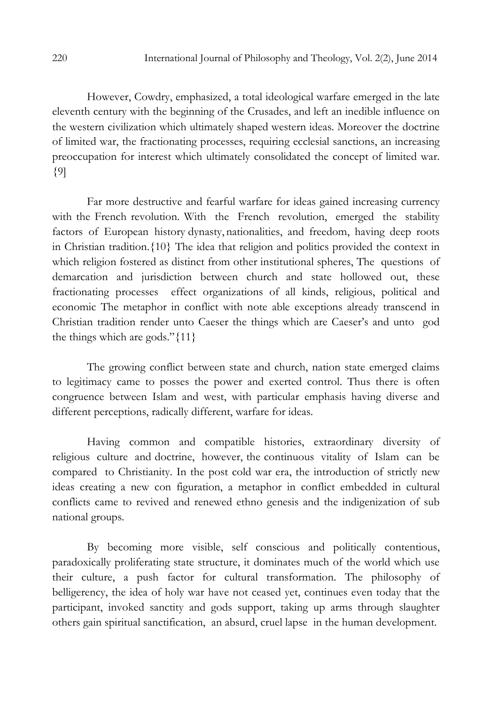However, Cowdry, emphasized, a total ideological warfare emerged in the late eleventh century with the beginning of the Crusades, and left an inedible influence on the western civilization which ultimately shaped western ideas. Moreover the doctrine of limited war, the fractionating processes, requiring ecclesial sanctions, an increasing preoccupation for interest which ultimately consolidated the concept of limited war. {9]

Far more destructive and fearful warfare for ideas gained increasing currency with the French revolution. With the French revolution, emerged the stability factors of European history dynasty, nationalities, and freedom, having deep roots in Christian tradition.{10} The idea that religion and politics provided the context in which religion fostered as distinct from other institutional spheres, The questions of demarcation and jurisdiction between church and state hollowed out, these fractionating processes effect organizations of all kinds, religious, political and economic The metaphor in conflict with note able exceptions already transcend in Christian tradition render unto Caeser the things which are Caeser's and unto god the things which are gods."{11}

The growing conflict between state and church, nation state emerged claims to legitimacy came to posses the power and exerted control. Thus there is often congruence between Islam and west, with particular emphasis having diverse and different perceptions, radically different, warfare for ideas.

Having common and compatible histories, extraordinary diversity of religious culture and doctrine, however, the continuous vitality of Islam can be compared to Christianity. In the post cold war era, the introduction of strictly new ideas creating a new con figuration, a metaphor in conflict embedded in cultural conflicts came to revived and renewed ethno genesis and the indigenization of sub national groups.

By becoming more visible, self conscious and politically contentious, paradoxically proliferating state structure, it dominates much of the world which use their culture, a push factor for cultural transformation. The philosophy of belligerency, the idea of holy war have not ceased yet, continues even today that the participant, invoked sanctity and gods support, taking up arms through slaughter others gain spiritual sanctification, an absurd, cruel lapse in the human development.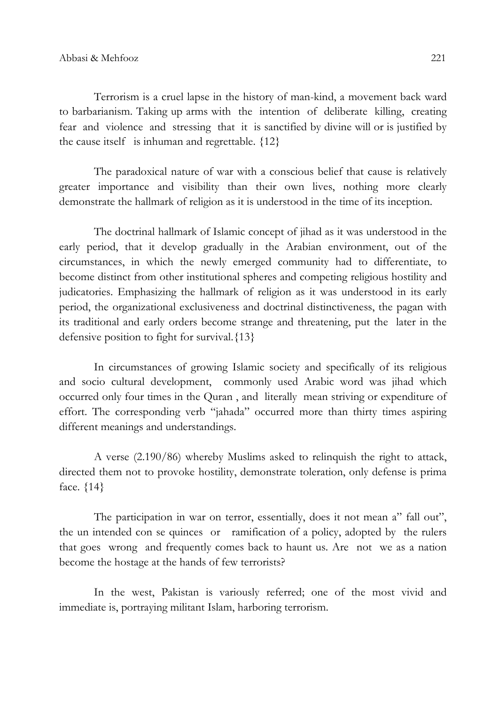Terrorism is a cruel lapse in the history of man-kind, a movement back ward to barbarianism. Taking up arms with the intention of deliberate killing, creating fear and violence and stressing that it is sanctified by divine will or is justified by the cause itself is inhuman and regrettable.  ${12}$ 

The paradoxical nature of war with a conscious belief that cause is relatively greater importance and visibility than their own lives, nothing more clearly demonstrate the hallmark of religion as it is understood in the time of its inception.

The doctrinal hallmark of Islamic concept of jihad as it was understood in the early period, that it develop gradually in the Arabian environment, out of the circumstances, in which the newly emerged community had to differentiate, to become distinct from other institutional spheres and competing religious hostility and judicatories. Emphasizing the hallmark of religion as it was understood in its early period, the organizational exclusiveness and doctrinal distinctiveness, the pagan with its traditional and early orders become strange and threatening, put the later in the defensive position to fight for survival.{13}

In circumstances of growing Islamic society and specifically of its religious and socio cultural development, commonly used Arabic word was jihad which occurred only four times in the Quran , and literally mean striving or expenditure of effort. The corresponding verb "jahada" occurred more than thirty times aspiring different meanings and understandings.

A verse (2.190/86) whereby Muslims asked to relinquish the right to attack, directed them not to provoke hostility, demonstrate toleration, only defense is prima face. {14}

The participation in war on terror, essentially, does it not mean a" fall out", the un intended con se quinces or ramification of a policy, adopted by the rulers that goes wrong and frequently comes back to haunt us. Are not we as a nation become the hostage at the hands of few terrorists?

In the west, Pakistan is variously referred; one of the most vivid and immediate is, portraying militant Islam, harboring terrorism.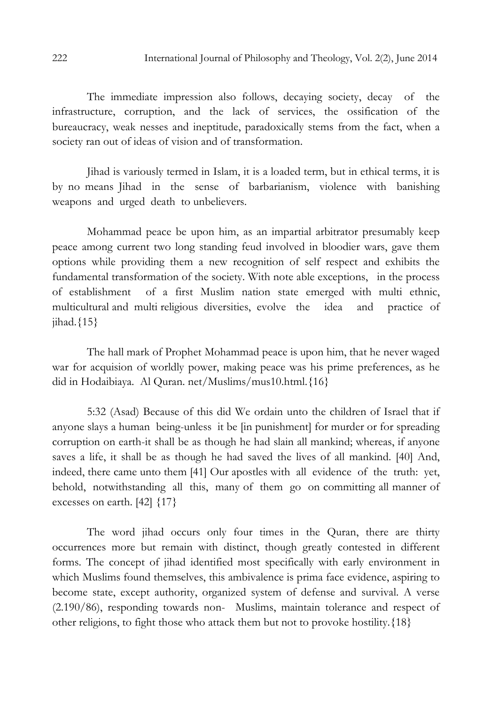The immediate impression also follows, decaying society, decay of the infrastructure, corruption, and the lack of services, the ossification of the bureaucracy, weak nesses and ineptitude, paradoxically stems from the fact, when a society ran out of ideas of vision and of transformation.

Jihad is variously termed in Islam, it is a loaded term, but in ethical terms, it is by no means Jihad in the sense of barbarianism, violence with banishing weapons and urged death to unbelievers.

Mohammad peace be upon him, as an impartial arbitrator presumably keep peace among current two long standing feud involved in bloodier wars, gave them options while providing them a new recognition of self respect and exhibits the fundamental transformation of the society. With note able exceptions, in the process of establishment of a first Muslim nation state emerged with multi ethnic, multicultural and multi religious diversities, evolve the idea and practice of jihad. ${15}$ 

The hall mark of Prophet Mohammad peace is upon him, that he never waged war for acquision of worldly power, making peace was his prime preferences, as he did in Hodaibiaya. Al Quran. net/Muslims/mus10.html.{16}

5:32 (Asad) Because of this did We ordain unto the children of Israel that if anyone slays a human being-unless it be [in punishment] for murder or for spreading corruption on earth-it shall be as though he had slain all mankind; whereas, if anyone saves a life, it shall be as though he had saved the lives of all mankind. [40] And, indeed, there came unto them [41] Our apostles with all evidence of the truth: yet, behold, notwithstanding all this, many of them go on committing all manner of excesses on earth. [42] {17}

The word jihad occurs only four times in the Quran, there are thirty occurrences more but remain with distinct, though greatly contested in different forms. The concept of jihad identified most specifically with early environment in which Muslims found themselves, this ambivalence is prima face evidence, aspiring to become state, except authority, organized system of defense and survival. A verse (2.190/86), responding towards non- Muslims, maintain tolerance and respect of other religions, to fight those who attack them but not to provoke hostility.{18}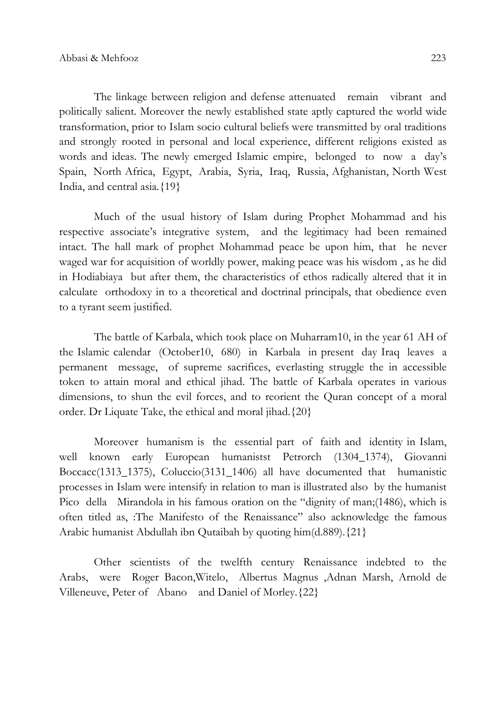The linkage between religion and defense attenuated remain vibrant and politically salient. Moreover the newly established state aptly captured the world wide transformation, prior to Islam socio cultural beliefs were transmitted by oral traditions and strongly rooted in personal and local experience, different religions existed as words and ideas. The newly emerged Islamic empire, belonged to now a day's Spain, North Africa, Egypt, Arabia, Syria, Iraq, Russia, Afghanistan, North West India, and central asia.{19}

Much of the usual history of Islam during Prophet Mohammad and his respective associate's integrative system, and the legitimacy had been remained intact. The hall mark of prophet Mohammad peace be upon him, that he never waged war for acquisition of worldly power, making peace was his wisdom , as he did in Hodiabiaya but after them, the characteristics of ethos radically altered that it in calculate orthodoxy in to a theoretical and doctrinal principals, that obedience even to a tyrant seem justified.

The battle of Karbala, which took place on Muharram10, in the year 61 AH of the Islamic calendar (October10, 680) in Karbala in present day Iraq leaves a permanent message, of supreme sacrifices, everlasting struggle the in accessible token to attain moral and ethical jihad. The battle of Karbala operates in various dimensions, to shun the evil forces, and to reorient the Quran concept of a moral order. Dr Liquate Take, the ethical and moral jihad.{20}

Moreover humanism is the essential part of faith and identity in Islam, well known early European humanistst Petrorch (1304\_1374), Giovanni Boccacc(1313\_1375), Coluccio(3131\_1406) all have documented that humanistic processes in Islam were intensify in relation to man is illustrated also by the humanist Pico della Mirandola in his famous oration on the "dignity of man;(1486), which is often titled as, :The Manifesto of the Renaissance" also acknowledge the famous Arabic humanist Abdullah ibn Qutaibah by quoting him(d.889).{21}

Other scientists of the twelfth century Renaissance indebted to the Arabs, were Roger Bacon,Witelo, Albertus Magnus ,Adnan Marsh, Arnold de Villeneuve, Peter of Abano and Daniel of Morley.{22}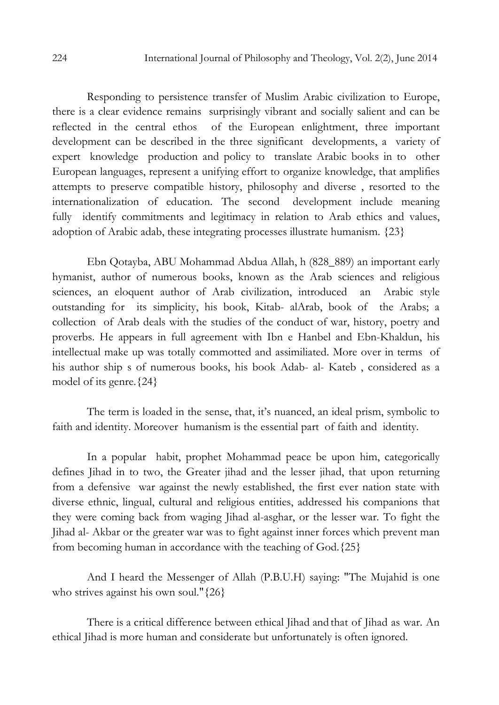Responding to persistence transfer of Muslim Arabic civilization to Europe, there is a clear evidence remains surprisingly vibrant and socially salient and can be reflected in the central ethos of the European enlightment, three important development can be described in the three significant developments, a variety of expert knowledge production and policy to translate Arabic books in to other European languages, represent a unifying effort to organize knowledge, that amplifies attempts to preserve compatible history, philosophy and diverse , resorted to the internationalization of education. The second development include meaning fully identify commitments and legitimacy in relation to Arab ethics and values, adoption of Arabic adab, these integrating processes illustrate humanism. {23}

Ebn Qotayba, ABU Mohammad Abdua Allah, h (828\_889) an important early hymanist, author of numerous books, known as the Arab sciences and religious sciences, an eloquent author of Arab civilization, introduced an Arabic style outstanding for its simplicity, his book, Kitab- alArab, book of the Arabs; a collection of Arab deals with the studies of the conduct of war, history, poetry and proverbs. He appears in full agreement with Ibn e Hanbel and Ebn-Khaldun, his intellectual make up was totally commotted and assimiliated. More over in terms of his author ship s of numerous books, his book Adab- al- Kateb , considered as a model of its genre.{24}

The term is loaded in the sense, that, it's nuanced, an ideal prism, symbolic to faith and identity. Moreover humanism is the essential part of faith and identity.

In a popular habit, prophet Mohammad peace be upon him, categorically defines Jihad in to two, the Greater jihad and the lesser jihad, that upon returning from a defensive war against the newly established, the first ever nation state with diverse ethnic, lingual, cultural and religious entities, addressed his companions that they were coming back from waging Jihad al-asghar, or the lesser war. To fight the Jihad al- Akbar or the greater war was to fight against inner forces which prevent man from becoming human in accordance with the teaching of God.{25}

And I heard the Messenger of Allah (P.B.U.H) saying: "The Mujahid is one who strives against his own soul." {26}

There is a critical difference between ethical Jihad and that of Jihad as war. An ethical Jihad is more human and considerate but unfortunately is often ignored.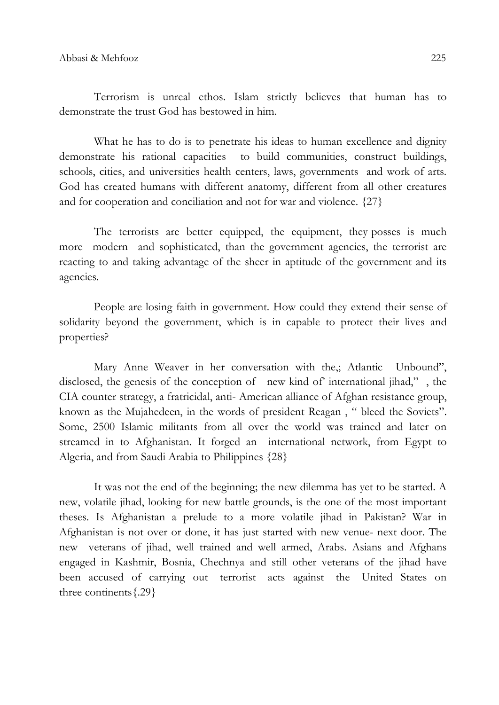Terrorism is unreal ethos. Islam strictly believes that human has to demonstrate the trust God has bestowed in him.

What he has to do is to penetrate his ideas to human excellence and dignity demonstrate his rational capacities to build communities, construct buildings, schools, cities, and universities health centers, laws, governments and work of arts. God has created humans with different anatomy, different from all other creatures and for cooperation and conciliation and not for war and violence. {27}

The terrorists are better equipped, the equipment, they posses is much more modern and sophisticated, than the government agencies, the terrorist are reacting to and taking advantage of the sheer in aptitude of the government and its agencies.

People are losing faith in government. How could they extend their sense of solidarity beyond the government, which is in capable to protect their lives and properties?

Mary Anne Weaver in her conversation with the,; Atlantic Unbound", disclosed, the genesis of the conception of new kind of' international jihad," , the CIA counter strategy, a fratricidal, anti- American alliance of Afghan resistance group, known as the Mujahedeen, in the words of president Reagan , " bleed the Soviets". Some, 2500 Islamic militants from all over the world was trained and later on streamed in to Afghanistan. It forged an international network, from Egypt to Algeria, and from Saudi Arabia to Philippines {28}

It was not the end of the beginning; the new dilemma has yet to be started. A new, volatile jihad, looking for new battle grounds, is the one of the most important theses. Is Afghanistan a prelude to a more volatile jihad in Pakistan? War in Afghanistan is not over or done, it has just started with new venue- next door. The new veterans of jihad, well trained and well armed, Arabs. Asians and Afghans engaged in Kashmir, Bosnia, Chechnya and still other veterans of the jihad have been accused of carrying out terrorist acts against the United States on three continents{.29}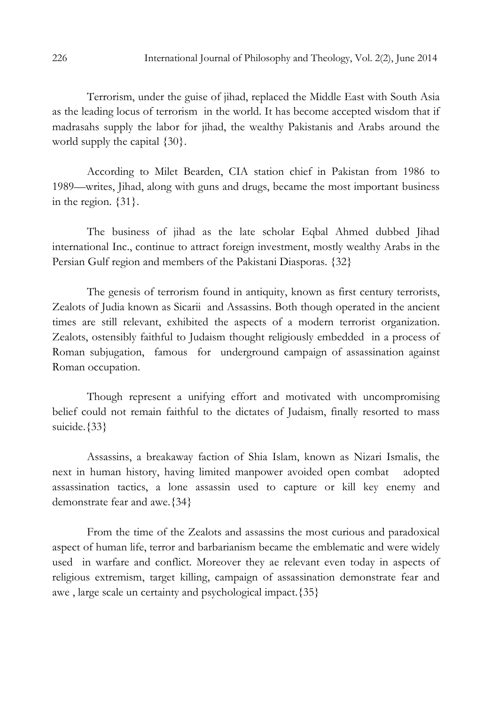Terrorism, under the guise of jihad, replaced the Middle East with South Asia as the leading locus of terrorism in the world. It has become accepted wisdom that if madrasahs supply the labor for jihad, the wealthy Pakistanis and Arabs around the world supply the capital {30}.

According to Milet Bearden, CIA station chief in Pakistan from 1986 to 1989—writes, Jihad, along with guns and drugs, became the most important business in the region. {31}.

The business of jihad as the late scholar Eqbal Ahmed dubbed Jihad international Inc., continue to attract foreign investment, mostly wealthy Arabs in the Persian Gulf region and members of the Pakistani Diasporas. {32}

The genesis of terrorism found in antiquity, known as first century terrorists, Zealots of Judia known as Sicarii and Assassins. Both though operated in the ancient times are still relevant, exhibited the aspects of a modern terrorist organization. Zealots, ostensibly faithful to Judaism thought religiously embedded in a process of Roman subjugation, famous for underground campaign of assassination against Roman occupation.

Though represent a unifying effort and motivated with uncompromising belief could not remain faithful to the dictates of Judaism, finally resorted to mass suicide. {33}

Assassins, a breakaway faction of Shia Islam, known as Nizari Ismalis, the next in human history, having limited manpower avoided open combat adopted assassination tactics, a lone assassin used to capture or kill key enemy and demonstrate fear and awe.{34}

From the time of the Zealots and assassins the most curious and paradoxical aspect of human life, terror and barbarianism became the emblematic and were widely used in warfare and conflict. Moreover they ae relevant even today in aspects of religious extremism, target killing, campaign of assassination demonstrate fear and awe , large scale un certainty and psychological impact.{35}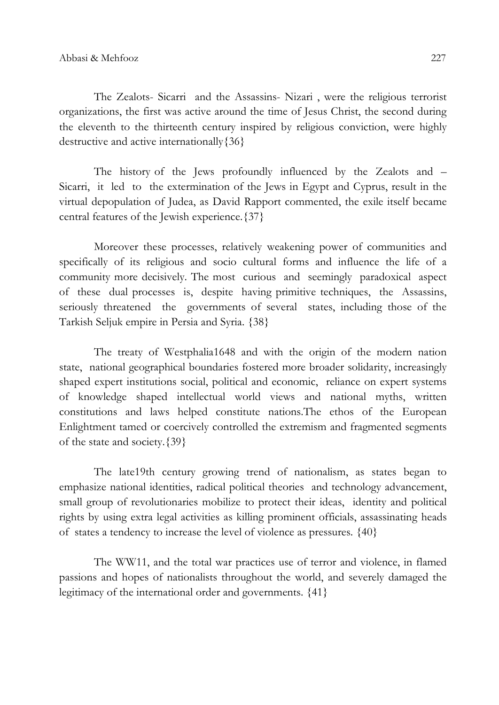The Zealots- Sicarri and the Assassins- Nizari , were the religious terrorist organizations, the first was active around the time of Jesus Christ, the second during the eleventh to the thirteenth century inspired by religious conviction, were highly destructive and active internationally{36}

The history of the Jews profoundly influenced by the Zealots and – Sicarri, it led to the extermination of the Jews in Egypt and Cyprus, result in the virtual depopulation of Judea, as David Rapport commented, the exile itself became central features of the Jewish experience.{37}

Moreover these processes, relatively weakening power of communities and specifically of its religious and socio cultural forms and influence the life of a community more decisively. The most curious and seemingly paradoxical aspect of these dual processes is, despite having primitive techniques, the Assassins, seriously threatened the governments of several states, including those of the Tarkish Seljuk empire in Persia and Syria. {38}

The treaty of Westphalia1648 and with the origin of the modern nation state, national geographical boundaries fostered more broader solidarity, increasingly shaped expert institutions social, political and economic, reliance on expert systems of knowledge shaped intellectual world views and national myths, written constitutions and laws helped constitute nations.The ethos of the European Enlightment tamed or coercively controlled the extremism and fragmented segments of the state and society.{39}

The late19th century growing trend of nationalism, as states began to emphasize national identities, radical political theories and technology advancement, small group of revolutionaries mobilize to protect their ideas, identity and political rights by using extra legal activities as killing prominent officials, assassinating heads of states a tendency to increase the level of violence as pressures. {40}

The WW11, and the total war practices use of terror and violence, in flamed passions and hopes of nationalists throughout the world, and severely damaged the legitimacy of the international order and governments. {41}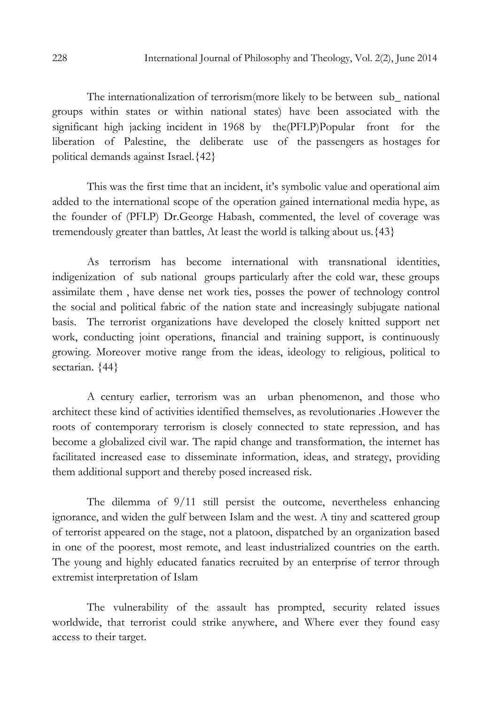The internationalization of terrorism(more likely to be between sub\_ national groups within states or within national states) have been associated with the significant high jacking incident in 1968 by the(PFLP)Popular front for the liberation of Palestine, the deliberate use of the passengers as hostages for political demands against Israel.{42}

This was the first time that an incident, it's symbolic value and operational aim added to the international scope of the operation gained international media hype, as the founder of (PFLP) Dr.George Habash, commented, the level of coverage was tremendously greater than battles, At least the world is talking about us.{43}

As terrorism has become international with transnational identities, indigenization of sub national groups particularly after the cold war, these groups assimilate them , have dense net work ties, posses the power of technology control the social and political fabric of the nation state and increasingly subjugate national basis. The terrorist organizations have developed the closely knitted support net work, conducting joint operations, financial and training support, is continuously growing. Moreover motive range from the ideas, ideology to religious, political to sectarian.  ${44}$ 

A century earlier, terrorism was an urban phenomenon, and those who architect these kind of activities identified themselves, as revolutionaries .However the roots of contemporary terrorism is closely connected to state repression, and has become a globalized civil war. The rapid change and transformation, the internet has facilitated increased ease to disseminate information, ideas, and strategy, providing them additional support and thereby posed increased risk.

The dilemma of 9/11 still persist the outcome, nevertheless enhancing ignorance, and widen the gulf between Islam and the west. A tiny and scattered group of terrorist appeared on the stage, not a platoon, dispatched by an organization based in one of the poorest, most remote, and least industrialized countries on the earth. The young and highly educated fanatics recruited by an enterprise of terror through extremist interpretation of Islam

The vulnerability of the assault has prompted, security related issues worldwide, that terrorist could strike anywhere, and Where ever they found easy access to their target.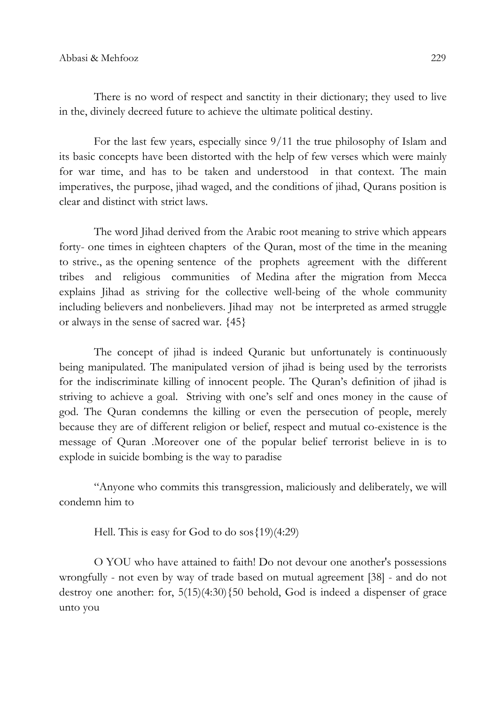There is no word of respect and sanctity in their dictionary; they used to live in the, divinely decreed future to achieve the ultimate political destiny.

For the last few years, especially since 9/11 the true philosophy of Islam and its basic concepts have been distorted with the help of few verses which were mainly for war time, and has to be taken and understood in that context. The main imperatives, the purpose, jihad waged, and the conditions of jihad, Qurans position is clear and distinct with strict laws.

The word Jihad derived from the Arabic root meaning to strive which appears forty- one times in eighteen chapters of the Quran, most of the time in the meaning to strive., as the opening sentence of the prophets agreement with the different tribes and religious communities of Medina after the migration from Mecca explains Jihad as striving for the collective well-being of the whole community including believers and nonbelievers. Jihad may not be interpreted as armed struggle or always in the sense of sacred war. {45}

The concept of jihad is indeed Quranic but unfortunately is continuously being manipulated. The manipulated version of jihad is being used by the terrorists for the indiscriminate killing of innocent people. The Quran's definition of jihad is striving to achieve a goal. Striving with one's self and ones money in the cause of god. The Quran condemns the killing or even the persecution of people, merely because they are of different religion or belief, respect and mutual co-existence is the message of Quran .Moreover one of the popular belief terrorist believe in is to explode in suicide bombing is the way to paradise

"Anyone who commits this transgression, maliciously and deliberately, we will condemn him to

Hell. This is easy for God to do sos{19)(4:29)

O YOU who have attained to faith! Do not devour one another's possessions wrongfully - not even by way of trade based on mutual agreement [38] - and do not destroy one another: for,  $5(15)(4:30)$  {50 behold, God is indeed a dispenser of grace unto you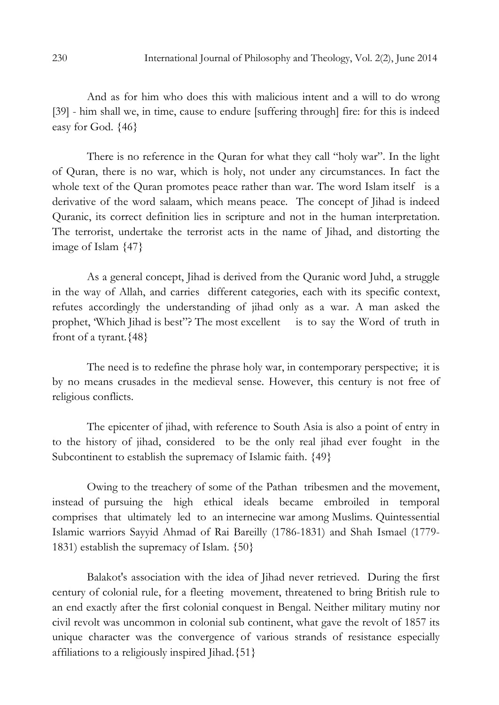And as for him who does this with malicious intent and a will to do wrong [39] - him shall we, in time, cause to endure [suffering through] fire: for this is indeed easy for God. {46}

There is no reference in the Quran for what they call "holy war". In the light of Quran, there is no war, which is holy, not under any circumstances. In fact the whole text of the Quran promotes peace rather than war. The word Islam itself is a derivative of the word salaam, which means peace. The concept of Jihad is indeed Quranic, its correct definition lies in scripture and not in the human interpretation. The terrorist, undertake the terrorist acts in the name of Jihad, and distorting the image of Islam {47}

As a general concept, Jihad is derived from the Quranic word Juhd, a struggle in the way of Allah, and carries different categories, each with its specific context, refutes accordingly the understanding of jihad only as a war. A man asked the prophet, 'Which Jihad is best"? The most excellent is to say the Word of truth in front of a tyrant.  ${48}$ 

The need is to redefine the phrase holy war, in contemporary perspective; it is by no means crusades in the medieval sense. However, this century is not free of religious conflicts.

The epicenter of jihad, with reference to South Asia is also a point of entry in to the history of jihad, considered to be the only real jihad ever fought in the Subcontinent to establish the supremacy of Islamic faith.  $\{49\}$ 

Owing to the treachery of some of the Pathan tribesmen and the movement, instead of pursuing the high ethical ideals became embroiled in temporal comprises that ultimately led to an internecine war among Muslims. Quintessential Islamic warriors Sayyid Ahmad of Rai Bareilly (1786-1831) and Shah Ismael (1779- 1831) establish the supremacy of Islam. {50}

Balakot's association with the idea of Jihad never retrieved. During the first century of colonial rule, for a fleeting movement, threatened to bring British rule to an end exactly after the first colonial conquest in Bengal. Neither military mutiny nor civil revolt was uncommon in colonial sub continent, what gave the revolt of 1857 its unique character was the convergence of various strands of resistance especially affiliations to a religiously inspired Jihad.{51}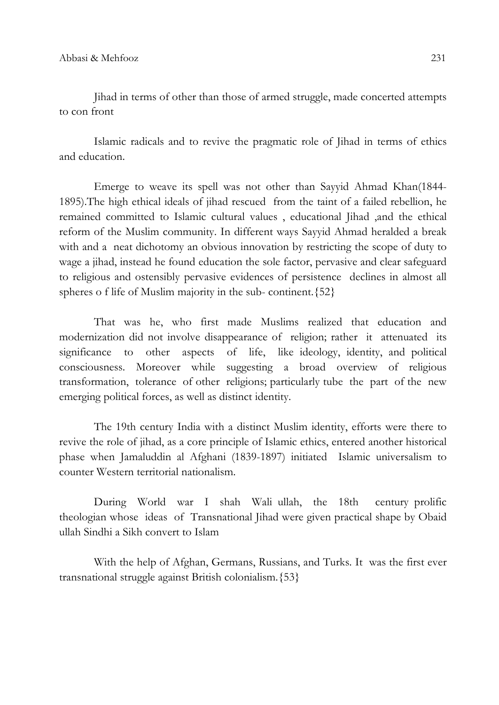Jihad in terms of other than those of armed struggle, made concerted attempts to con front

Islamic radicals and to revive the pragmatic role of Jihad in terms of ethics and education.

Emerge to weave its spell was not other than Sayyid Ahmad Khan(1844- 1895).The high ethical ideals of jihad rescued from the taint of a failed rebellion, he remained committed to Islamic cultural values , educational Jihad ,and the ethical reform of the Muslim community. In different ways Sayyid Ahmad heralded a break with and a neat dichotomy an obvious innovation by restricting the scope of duty to wage a jihad, instead he found education the sole factor, pervasive and clear safeguard to religious and ostensibly pervasive evidences of persistence declines in almost all spheres o f life of Muslim majority in the sub- continent.{52}

That was he, who first made Muslims realized that education and modernization did not involve disappearance of religion; rather it attenuated its significance to other aspects of life, like ideology, identity, and political consciousness. Moreover while suggesting a broad overview of religious transformation, tolerance of other religions; particularly tube the part of the new emerging political forces, as well as distinct identity.

The 19th century India with a distinct Muslim identity, efforts were there to revive the role of jihad, as a core principle of Islamic ethics, entered another historical phase when Jamaluddin al Afghani (1839-1897) initiated Islamic universalism to counter Western territorial nationalism.

During World war I shah Wali ullah, the 18th century prolific theologian whose ideas of Transnational Jihad were given practical shape by Obaid ullah Sindhi a Sikh convert to Islam

With the help of Afghan, Germans, Russians, and Turks. It was the first ever transnational struggle against British colonialism.{53}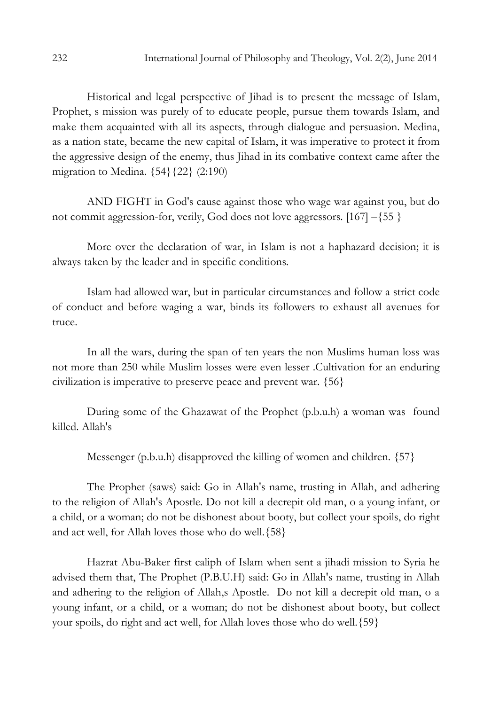Historical and legal perspective of Jihad is to present the message of Islam, Prophet, s mission was purely of to educate people, pursue them towards Islam, and make them acquainted with all its aspects, through dialogue and persuasion. Medina, as a nation state, became the new capital of Islam, it was imperative to protect it from the aggressive design of the enemy, thus Jihad in its combative context came after the migration to Medina. {54}{22} (2:190)

AND FIGHT in God's cause against those who wage war against you, but do not commit aggression-for, verily, God does not love aggressors. [167] –{55 }

More over the declaration of war, in Islam is not a haphazard decision; it is always taken by the leader and in specific conditions.

Islam had allowed war, but in particular circumstances and follow a strict code of conduct and before waging a war, binds its followers to exhaust all avenues for truce.

In all the wars, during the span of ten years the non Muslims human loss was not more than 250 while Muslim losses were even lesser .Cultivation for an enduring civilization is imperative to preserve peace and prevent war. {56}

During some of the Ghazawat of the Prophet (p.b.u.h) a woman was found killed. Allah's

Messenger (p.b.u.h) disapproved the killing of women and children. {57}

The Prophet (saws) said: Go in Allah's name, trusting in Allah, and adhering to the religion of Allah's Apostle. Do not kill a decrepit old man, o a young infant, or a child, or a woman; do not be dishonest about booty, but collect your spoils, do right and act well, for Allah loves those who do well.{58}

Hazrat Abu-Baker first caliph of Islam when sent a jihadi mission to Syria he advised them that, The Prophet (P.B.U.H) said: Go in Allah's name, trusting in Allah and adhering to the religion of Allah,s Apostle. Do not kill a decrepit old man, o a young infant, or a child, or a woman; do not be dishonest about booty, but collect your spoils, do right and act well, for Allah loves those who do well.{59}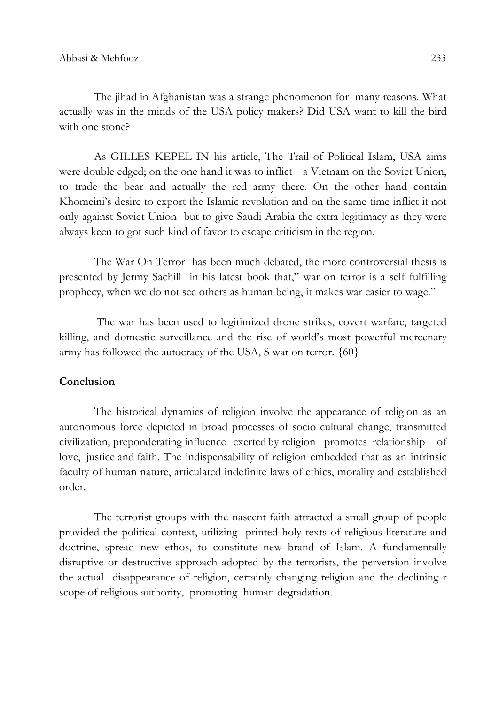The jihad in Afghanistan was a strange phenomenon for many reasons. What actually was in the minds of the USA policy makers? Did USA want to kill the bird with one stone?

As GILLES KEPEL IN his article, The Trail of Political Islam, USA aims were double edged; on the one hand it was to inflict a Vietnam on the Soviet Union, to trade the bear and actually the red army there. On the other hand contain Khomeini's desire to export the Islamic revolution and on the same time inflict it not only against Soviet Union but to give Saudi Arabia the extra legitimacy as they were always keen to got such kind of favor to escape criticism in the region.

The War On Terror has been much debated, the more controversial thesis is presented by Jermy Sachill in his latest book that," war on terror is a self fulfilling prophecy, when we do not see others as human being, it makes war easier to wage."

 The war has been used to legitimized drone strikes, covert warfare, targeted killing, and domestic surveillance and the rise of world's most powerful mercenary army has followed the autocracy of the USA, S war on terror. {60}

### **Conclusion**

The historical dynamics of religion involve the appearance of religion as an autonomous force depicted in broad processes of socio cultural change, transmitted civilization; preponderating influence exerted by religion promotes relationship of love, justice and faith. The indispensability of religion embedded that as an intrinsic faculty of human nature, articulated indefinite laws of ethics, morality and established order.

The terrorist groups with the nascent faith attracted a small group of people provided the political context, utilizing printed holy texts of religious literature and doctrine, spread new ethos, to constitute new brand of Islam. A fundamentally disruptive or destructive approach adopted by the terrorists, the perversion involve the actual disappearance of religion, certainly changing religion and the declining r scope of religious authority, promoting human degradation.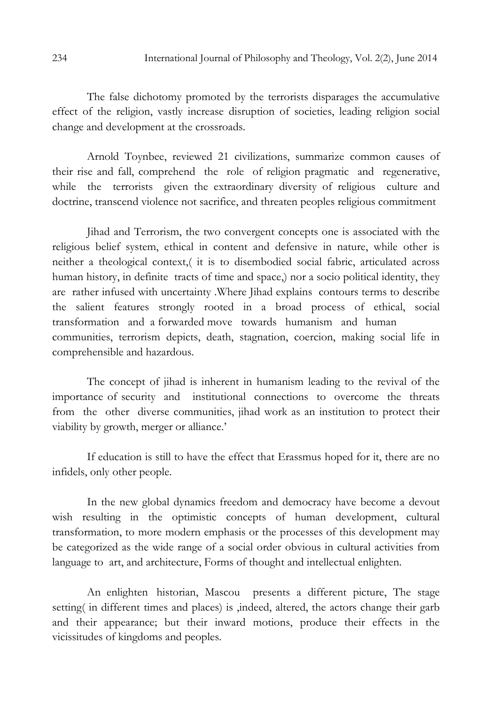The false dichotomy promoted by the terrorists disparages the accumulative effect of the religion, vastly increase disruption of societies, leading religion social change and development at the crossroads.

Arnold Toynbee, reviewed 21 civilizations, summarize common causes of their rise and fall, comprehend the role of religion pragmatic and regenerative, while the terrorists given the extraordinary diversity of religious culture and doctrine, transcend violence not sacrifice, and threaten peoples religious commitment

Jihad and Terrorism, the two convergent concepts one is associated with the religious belief system, ethical in content and defensive in nature, while other is neither a theological context,( it is to disembodied social fabric, articulated across human history, in definite tracts of time and space,) nor a socio political identity, they are rather infused with uncertainty .Where Jihad explains contours terms to describe the salient features strongly rooted in a broad process of ethical, social transformation and a forwarded move towards humanism and human communities, terrorism depicts, death, stagnation, coercion, making social life in comprehensible and hazardous.

The concept of jihad is inherent in humanism leading to the revival of the importance of security and institutional connections to overcome the threats from the other diverse communities, jihad work as an institution to protect their viability by growth, merger or alliance.'

If education is still to have the effect that Erassmus hoped for it, there are no infidels, only other people.

In the new global dynamics freedom and democracy have become a devout wish resulting in the optimistic concepts of human development, cultural transformation, to more modern emphasis or the processes of this development may be categorized as the wide range of a social order obvious in cultural activities from language to art, and architecture, Forms of thought and intellectual enlighten.

An enlighten historian, Mascou presents a different picture, The stage setting( in different times and places) is ,indeed, altered, the actors change their garb and their appearance; but their inward motions, produce their effects in the vicissitudes of kingdoms and peoples.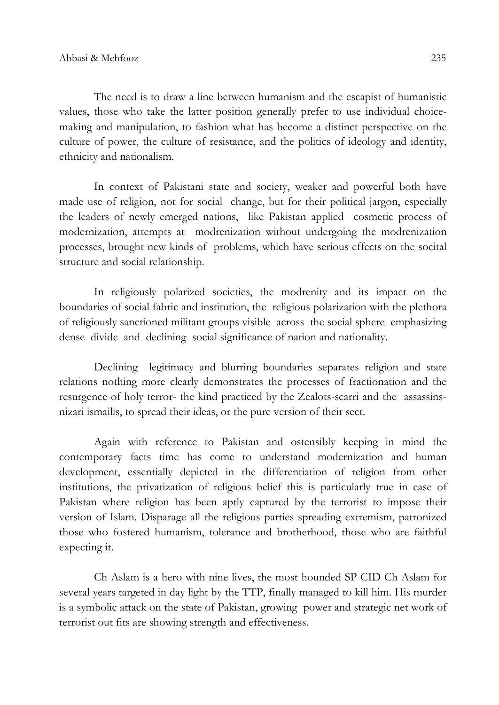The need is to draw a line between humanism and the escapist of humanistic values, those who take the latter position generally prefer to use individual choicemaking and manipulation, to fashion what has become a distinct perspective on the culture of power, the culture of resistance, and the politics of ideology and identity, ethnicity and nationalism.

In context of Pakistani state and society, weaker and powerful both have made use of religion, not for social change, but for their political jargon, especially the leaders of newly emerged nations, like Pakistan applied cosmetic process of modernization, attempts at modrenization without undergoing the modrenization processes, brought new kinds of problems, which have serious effects on the socital structure and social relationship.

In religiously polarized societies, the modrenity and its impact on the boundaries of social fabric and institution, the religious polarization with the plethora of religiously sanctioned militant groups visible across the social sphere emphasizing dense divide and declining social significance of nation and nationality.

Declining legitimacy and blurring boundaries separates religion and state relations nothing more clearly demonstrates the processes of fractionation and the resurgence of holy terror- the kind practiced by the Zealots-scarri and the assassinsnizari ismailis, to spread their ideas, or the pure version of their sect.

Again with reference to Pakistan and ostensibly keeping in mind the contemporary facts time has come to understand modernization and human development, essentially depicted in the differentiation of religion from other institutions, the privatization of religious belief this is particularly true in case of Pakistan where religion has been aptly captured by the terrorist to impose their version of Islam. Disparage all the religious parties spreading extremism, patronized those who fostered humanism, tolerance and brotherhood, those who are faithful expecting it.

Ch Aslam is a hero with nine lives, the most hounded SP CID Ch Aslam for several years targeted in day light by the TTP, finally managed to kill him. His murder is a symbolic attack on the state of Pakistan, growing power and strategic net work of terrorist out fits are showing strength and effectiveness.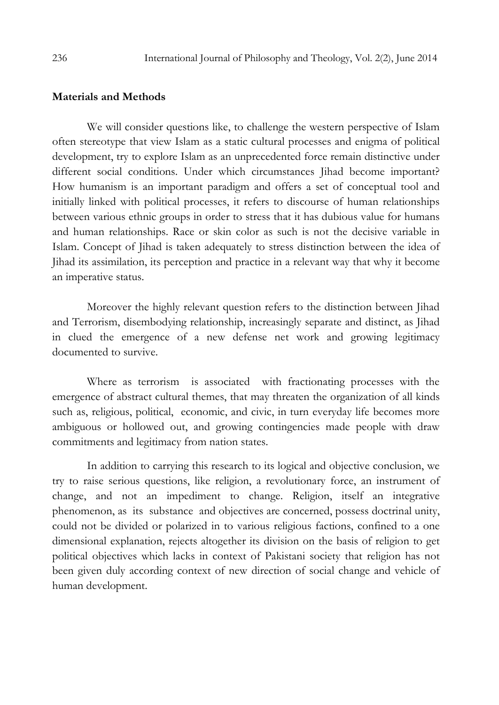#### Materials and Methods

We will consider questions like, to challenge the western perspective of Islam often stereotype that view Islam as a static cultural processes and enigma of political development, try to explore Islam as an unprecedented force remain distinctive under different social conditions. Under which circumstances Jihad become important? How humanism is an important paradigm and offers a set of conceptual tool and initially linked with political processes, it refers to discourse of human relationships between various ethnic groups in order to stress that it has dubious value for humans and human relationships. Race or skin color as such is not the decisive variable in Islam. Concept of Jihad is taken adequately to stress distinction between the idea of Jihad its assimilation, its perception and practice in a relevant way that why it become an imperative status.

Moreover the highly relevant question refers to the distinction between Jihad and Terrorism, disembodying relationship, increasingly separate and distinct, as Jihad in clued the emergence of a new defense net work and growing legitimacy documented to survive.

Where as terrorism is associated with fractionating processes with the emergence of abstract cultural themes, that may threaten the organization of all kinds such as, religious, political, economic, and civic, in turn everyday life becomes more ambiguous or hollowed out, and growing contingencies made people with draw commitments and legitimacy from nation states.

In addition to carrying this research to its logical and objective conclusion, we try to raise serious questions, like religion, a revolutionary force, an instrument of change, and not an impediment to change. Religion, itself an integrative phenomenon, as its substance and objectives are concerned, possess doctrinal unity, could not be divided or polarized in to various religious factions, confined to a one dimensional explanation, rejects altogether its division on the basis of religion to get political objectives which lacks in context of Pakistani society that religion has not been given duly according context of new direction of social change and vehicle of human development.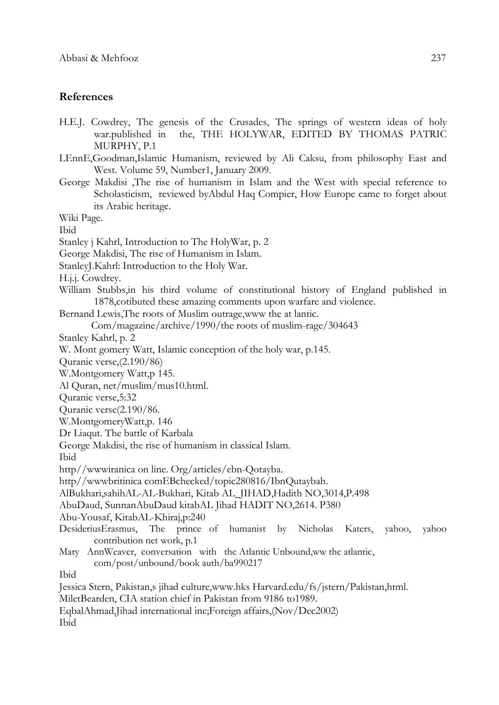## References

- H.E.J. Cowdrey, The genesis of the Crusades, The springs of western ideas of holy war.published in the, THE HOLYWAR, EDITED BY THOMAS PATRIC MURPHY, P.1
- LEnnE,Goodman,Islamic Humanism, reviewed by Ali Caksu, from philosophy East and West. Volume 59, Number1, January 2009.
- George Makdisi ,The rise of humanism in Islam and the West with special reference to Scholasticism, reviewed byAbdul Haq Compier, How Europe came to forget about its Arabic heritage.

Wiki Page.

Ibid

- Stanley j Kahrl, Introduction to The HolyWar, p. 2
- George Makdisi, The rise of Humanism in Islam.
- StanleyJ.Kahrl: Introduction to the Holy War.
- H.j.j. Cowdrey.
- William Stubbs,in his third volume of constitutional history of England published in 1878,cotibuted these amazing comments upon warfare and violence.
- Bernand Lewis,The roots of Muslim outrage,www the at lantic.

```
 Com/magazine/archive/1990/the roots of muslim-rage/304643
```
Stanley Kahrl, p. 2

W. Mont gomery Watt, Islamic conception of the holy war, p.145.

Quranic verse,(2.190/86)

- W.Montgomery Watt,p 145.
- Al Quran, net/muslim/mus10.html.
- Quranic verse,5:32
- Quranic verse(2.190/86.

W.MontgomeryWatt,p. 146

- Dr Liaqut. The battle of Karbala
- George Makdisi, the rise of humanism in classical Islam.

Ibid

http//wwwiranica on line. Org/articles/ebn-Qotayba.

http//wwwbritinica comEBchecked/topic280816/IbnQutaybah.

AlBukhari,sahihAL-AL-Bukhari, Kitab AL\_JIHAD,Hadith NO,3014,P.498

AbuDaud, SunnanAbuDaud kitabAL Jihad HADIT NO,2614. P380

Abu-Yousaf, KitabAL-Khiraj,p:240

- DesideriusErasmus, The prince of humanist by Nicholas Katers, yahoo, yahoo contribution net work, p.1
- Mary AnnWeaver, conversation with the Atlantic Unbound, ww the atlantic, com/post/unbound/book auth/ba990217

Ibid

Jessica Stern, Pakistan,s jihad culture,www.hks Harvard.edu/fs/jstern/Pakistan,html.

MiletBearden, CIA station chief in Pakistan from 9186 to1989.

EqbalAhmad,Jihad international inc;Foreign affairs,(Nov/Dec2002)

Ibid